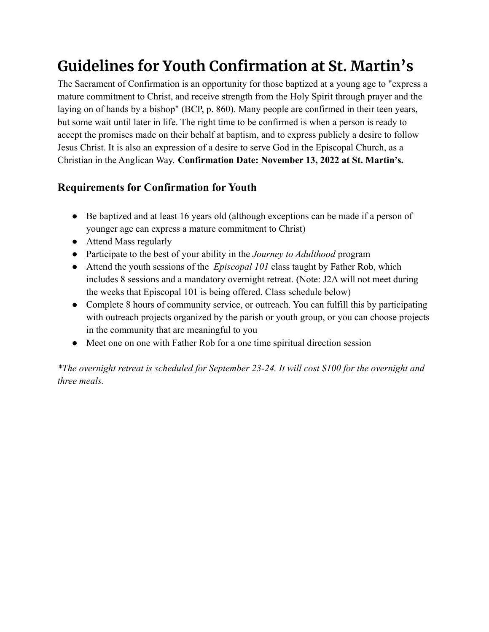## **Guidelines for Youth Confirmation at St. Martin's**

The Sacrament of Confirmation is an opportunity for those baptized at a young age to "express a mature commitment to Christ, and receive strength from the Holy Spirit through prayer and the laying on of hands by a bishop" (BCP, p. 860). Many people are confirmed in their teen years, but some wait until later in life. The right time to be confirmed is when a person is ready to accept the promises made on their behalf at baptism, and to express publicly a desire to follow Jesus Christ. It is also an expression of a desire to serve God in the Episcopal Church, as a Christian in the Anglican Way. **Confirmation Date: November 13, 2022 at St. Martin's.**

## **Requirements for Confirmation for Youth**

- Be baptized and at least 16 years old (although exceptions can be made if a person of younger age can express a mature commitment to Christ)
- Attend Mass regularly
- Participate to the best of your ability in the *Journey to Adulthood* program
- Attend the youth sessions of the *Episcopal 101* class taught by Father Rob, which includes 8 sessions and a mandatory overnight retreat. (Note: J2A will not meet during the weeks that Episcopal 101 is being offered. Class schedule below)
- Complete 8 hours of community service, or outreach. You can fulfill this by participating with outreach projects organized by the parish or youth group, or you can choose projects in the community that are meaningful to you
- Meet one on one with Father Rob for a one time spiritual direction session

*\*The overnight retreat is scheduled for September 23-24. It will cost \$100 for the overnight and three meals.*